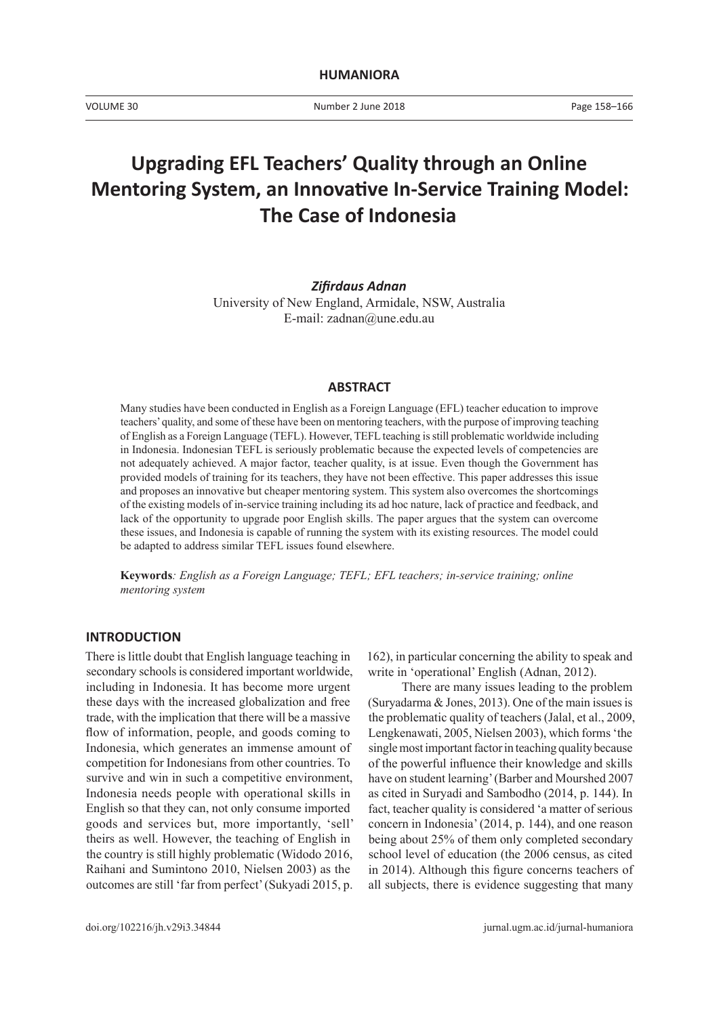Number 2 June 2018

# **Upgrading EFL Teachers' Quality through an Online Mentoring System, an Innovative In-Service Training Model: The Case of Indonesia**

*Zifirdaus Adnan* University of New England, Armidale, NSW, Australia E-mail: zadnan@une.edu.au

#### **ABSTRACT**

Many studies have been conducted in English as a Foreign Language (EFL) teacher education to improve teachers' quality, and some of these have been on mentoring teachers, with the purpose of improving teaching of English as a Foreign Language (TEFL). However, TEFL teaching is still problematic worldwide including in Indonesia. Indonesian TEFL is seriously problematic because the expected levels of competencies are not adequately achieved. A major factor, teacher quality, is at issue. Even though the Government has provided models of training for its teachers, they have not been effective. This paper addresses this issue and proposes an innovative but cheaper mentoring system. This system also overcomes the shortcomings of the existing models of in-service training including its ad hoc nature, lack of practice and feedback, and lack of the opportunity to upgrade poor English skills. The paper argues that the system can overcome these issues, and Indonesia is capable of running the system with its existing resources. The model could be adapted to address similar TEFL issues found elsewhere.

**Keywords***: English as a Foreign Language; TEFL; EFL teachers; in-service training; online mentoring system*

## **INTRODUCTION**

There is little doubt that English language teaching in secondary schools is considered important worldwide, including in Indonesia. It has become more urgent these days with the increased globalization and free trade, with the implication that there will be a massive flow of information, people, and goods coming to Indonesia, which generates an immense amount of competition for Indonesians from other countries. To survive and win in such a competitive environment, Indonesia needs people with operational skills in English so that they can, not only consume imported goods and services but, more importantly, 'sell' theirs as well. However, the teaching of English in the country is still highly problematic (Widodo 2016, Raihani and Sumintono 2010, Nielsen 2003) as the outcomes are still 'far from perfect' (Sukyadi 2015, p.

162), in particular concerning the ability to speak and write in 'operational' English (Adnan, 2012).

There are many issues leading to the problem (Suryadarma & Jones, 2013). One of the main issues is the problematic quality of teachers (Jalal, et al., 2009, Lengkenawati, 2005, Nielsen 2003), which forms 'the single most important factor in teaching quality because of the powerful influence their knowledge and skills have on student learning' (Barber and Mourshed 2007 as cited in Suryadi and Sambodho (2014, p. 144). In fact, teacher quality is considered 'a matter of serious concern in Indonesia' (2014, p. 144), and one reason being about 25% of them only completed secondary school level of education (the 2006 census, as cited in 2014). Although this figure concerns teachers of all subjects, there is evidence suggesting that many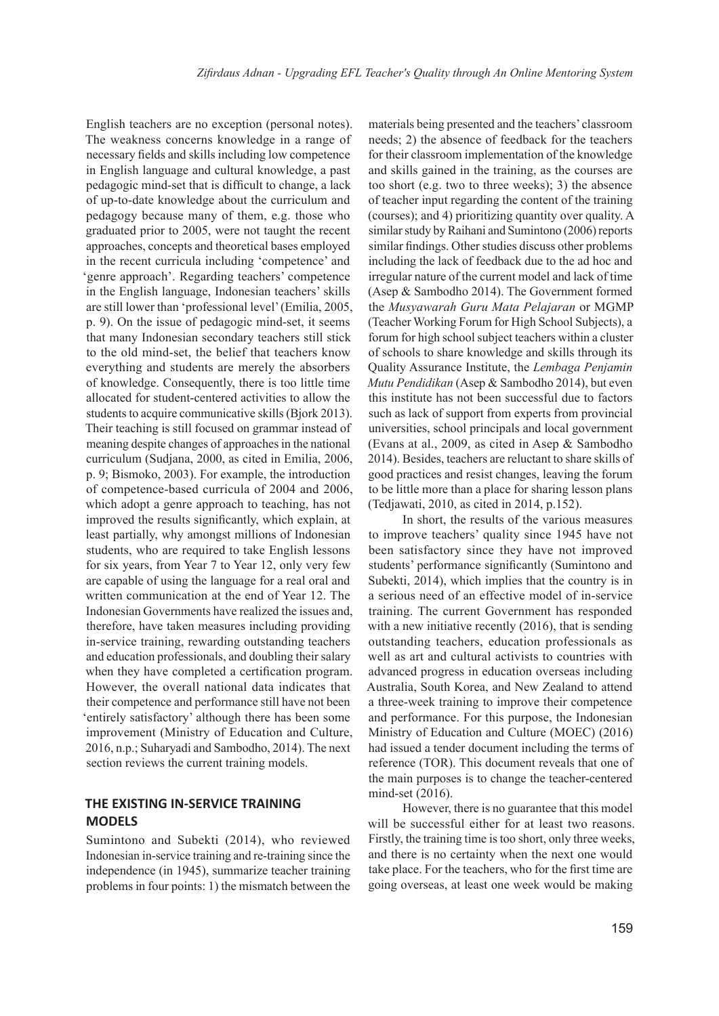English teachers are no exception (personal notes). The weakness concerns knowledge in a range of necessary fields and skills including low competence in English language and cultural knowledge, a past pedagogic mind-set that is difficult to change, a lack of up-to-date knowledge about the curriculum and pedagogy because many of them, e.g. those who graduated prior to 2005, were not taught the recent approaches, concepts and theoretical bases employed in the recent curricula including 'competence' and 'genre approach'. Regarding teachers' competence in the English language, Indonesian teachers' skills are still lower than 'professional level' (Emilia, 2005, p. 9). On the issue of pedagogic mind-set, it seems that many Indonesian secondary teachers still stick to the old mind-set, the belief that teachers know everything and students are merely the absorbers of knowledge. Consequently, there is too little time allocated for student-centered activities to allow the students to acquire communicative skills (Bjork 2013). Their teaching is still focused on grammar instead of meaning despite changes of approaches in the national curriculum (Sudjana, 2000, as cited in Emilia, 2006, p. 9; Bismoko, 2003). For example, the introduction of competence-based curricula of 2004 and 2006, which adopt a genre approach to teaching, has not improved the results significantly, which explain, at least partially, why amongst millions of Indonesian students, who are required to take English lessons for six years, from Year 7 to Year 12, only very few are capable of using the language for a real oral and written communication at the end of Year 12. The Indonesian Governments have realized the issues and, therefore, have taken measures including providing in-service training, rewarding outstanding teachers and education professionals, and doubling their salary when they have completed a certification program. However, the overall national data indicates that their competence and performance still have not been 'entirely satisfactory' although there has been some improvement (Ministry of Education and Culture, 2016, n.p.; Suharyadi and Sambodho, 2014). The next section reviews the current training models.

## **THE EXISTING IN-SERVICE TRAINING MODELS**

Sumintono and Subekti (2014), who reviewed Indonesian in-service training and re-training since the independence (in 1945), summarize teacher training problems in four points: 1) the mismatch between the

materials being presented and the teachers' classroom needs; 2) the absence of feedback for the teachers for their classroom implementation of the knowledge and skills gained in the training, as the courses are too short (e.g. two to three weeks); 3) the absence of teacher input regarding the content of the training (courses); and 4) prioritizing quantity over quality. A similar study by Raihani and Sumintono (2006) reports similar findings. Other studies discuss other problems including the lack of feedback due to the ad hoc and irregular nature of the current model and lack of time (Asep & Sambodho 2014). The Government formed the *Musyawarah Guru Mata Pelajaran* or MGMP (Teacher Working Forum for High School Subjects), a forum for high school subject teachers within a cluster of schools to share knowledge and skills through its Quality Assurance Institute, the *Lembaga Penjamin Mutu Pendidikan* (Asep & Sambodho 2014), but even this institute has not been successful due to factors such as lack of support from experts from provincial universities, school principals and local government (Evans at al., 2009, as cited in Asep & Sambodho 2014). Besides, teachers are reluctant to share skills of good practices and resist changes, leaving the forum to be little more than a place for sharing lesson plans (Tedjawati, 2010, as cited in 2014, p.152).

In short, the results of the various measures to improve teachers' quality since 1945 have not been satisfactory since they have not improved students' performance significantly (Sumintono and Subekti, 2014), which implies that the country is in a serious need of an effective model of in-service training. The current Government has responded with a new initiative recently (2016), that is sending outstanding teachers, education professionals as well as art and cultural activists to countries with advanced progress in education overseas including Australia, South Korea, and New Zealand to attend a three-week training to improve their competence and performance. For this purpose, the Indonesian Ministry of Education and Culture (MOEC) (2016) had issued a tender document including the terms of reference (TOR). This document reveals that one of the main purposes is to change the teacher-centered mind-set (2016).

However, there is no guarantee that this model will be successful either for at least two reasons. Firstly, the training time is too short, only three weeks, and there is no certainty when the next one would take place. For the teachers, who for the first time are going overseas, at least one week would be making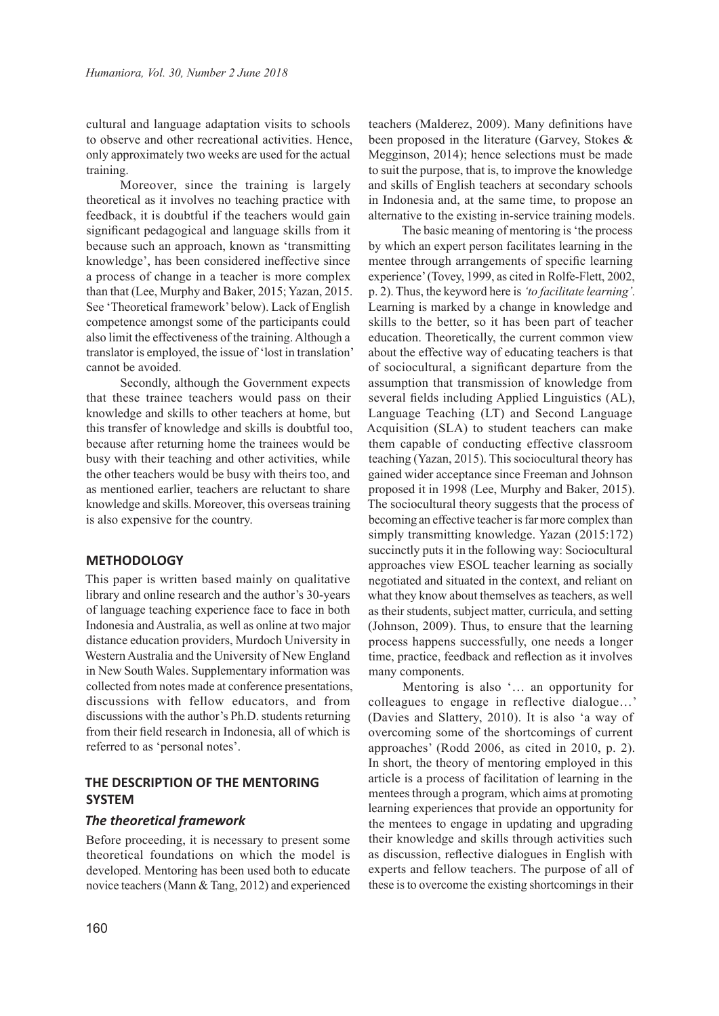cultural and language adaptation visits to schools to observe and other recreational activities. Hence, only approximately two weeks are used for the actual training.

Moreover, since the training is largely theoretical as it involves no teaching practice with feedback, it is doubtful if the teachers would gain significant pedagogical and language skills from it because such an approach, known as 'transmitting knowledge', has been considered ineffective since a process of change in a teacher is more complex than that (Lee, Murphy and Baker, 2015; Yazan, 2015. See 'Theoretical framework' below). Lack of English competence amongst some of the participants could also limit the effectiveness of the training. Although a translator is employed, the issue of 'lost in translation' cannot be avoided.

Secondly, although the Government expects that these trainee teachers would pass on their knowledge and skills to other teachers at home, but this transfer of knowledge and skills is doubtful too, because after returning home the trainees would be busy with their teaching and other activities, while the other teachers would be busy with theirs too, and as mentioned earlier, teachers are reluctant to share knowledge and skills. Moreover, this overseas training is also expensive for the country.

## **METHODOLOGY**

This paper is written based mainly on qualitative library and online research and the author's 30-years of language teaching experience face to face in both Indonesia and Australia, as well as online at two major distance education providers, Murdoch University in Western Australia and the University of New England in New South Wales. Supplementary information was collected from notes made at conference presentations, discussions with fellow educators, and from discussions with the author's Ph.D. students returning from their field research in Indonesia, all of which is referred to as 'personal notes'.

## **THE DESCRIPTION OF THE MENTORING SYSTEM**

#### *The theoretical framework*

Before proceeding, it is necessary to present some theoretical foundations on which the model is developed. Mentoring has been used both to educate novice teachers (Mann & Tang, 2012) and experienced teachers (Malderez, 2009). Many definitions have been proposed in the literature (Garvey, Stokes & Megginson, 2014); hence selections must be made to suit the purpose, that is, to improve the knowledge and skills of English teachers at secondary schools in Indonesia and, at the same time, to propose an alternative to the existing in-service training models.

The basic meaning of mentoring is 'the process by which an expert person facilitates learning in the mentee through arrangements of specific learning experience' (Tovey, 1999, as cited in Rolfe-Flett, 2002, p. 2). Thus, the keyword here is *'to facilitate learning'.*  Learning is marked by a change in knowledge and skills to the better, so it has been part of teacher education. Theoretically, the current common view about the effective way of educating teachers is that of sociocultural, a significant departure from the assumption that transmission of knowledge from several fields including Applied Linguistics (AL), Language Teaching (LT) and Second Language Acquisition (SLA) to student teachers can make them capable of conducting effective classroom teaching (Yazan, 2015). This sociocultural theory has gained wider acceptance since Freeman and Johnson proposed it in 1998 (Lee, Murphy and Baker, 2015). The sociocultural theory suggests that the process of becoming an effective teacher is far more complex than simply transmitting knowledge. Yazan (2015:172) succinctly puts it in the following way: Sociocultural approaches view ESOL teacher learning as socially negotiated and situated in the context, and reliant on what they know about themselves as teachers, as well as their students, subject matter, curricula, and setting (Johnson, 2009). Thus, to ensure that the learning process happens successfully, one needs a longer time, practice, feedback and reflection as it involves many components.

Mentoring is also '… an opportunity for colleagues to engage in reflective dialogue…' (Davies and Slattery, 2010). It is also 'a way of overcoming some of the shortcomings of current approaches' (Rodd 2006, as cited in 2010, p. 2). In short, the theory of mentoring employed in this article is a process of facilitation of learning in the mentees through a program, which aims at promoting learning experiences that provide an opportunity for the mentees to engage in updating and upgrading their knowledge and skills through activities such as discussion, reflective dialogues in English with experts and fellow teachers. The purpose of all of these is to overcome the existing shortcomings in their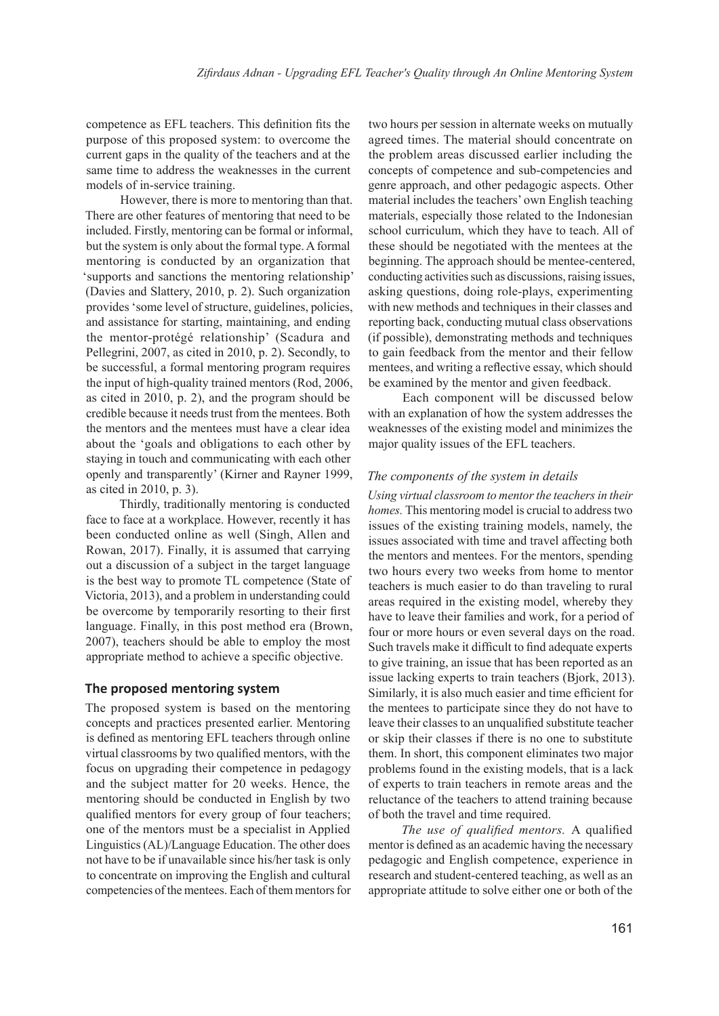competence as EFL teachers. This definition fits the purpose of this proposed system: to overcome the current gaps in the quality of the teachers and at the same time to address the weaknesses in the current models of in-service training.

However, there is more to mentoring than that. There are other features of mentoring that need to be included. Firstly, mentoring can be formal or informal, but the system is only about the formal type. A formal mentoring is conducted by an organization that 'supports and sanctions the mentoring relationship' (Davies and Slattery, 2010, p. 2). Such organization provides 'some level of structure, guidelines, policies, and assistance for starting, maintaining, and ending the mentor-protégé relationship' (Scadura and Pellegrini, 2007, as cited in 2010, p. 2). Secondly, to be successful, a formal mentoring program requires the input of high-quality trained mentors (Rod, 2006, as cited in 2010, p. 2), and the program should be credible because it needs trust from the mentees. Both the mentors and the mentees must have a clear idea about the 'goals and obligations to each other by staying in touch and communicating with each other openly and transparently' (Kirner and Rayner 1999, as cited in 2010, p. 3).

Thirdly, traditionally mentoring is conducted face to face at a workplace. However, recently it has been conducted online as well (Singh, Allen and Rowan, 2017). Finally, it is assumed that carrying out a discussion of a subject in the target language is the best way to promote TL competence (State of Victoria, 2013), and a problem in understanding could be overcome by temporarily resorting to their first language. Finally, in this post method era (Brown, 2007), teachers should be able to employ the most appropriate method to achieve a specific objective.

## **The proposed mentoring system**

The proposed system is based on the mentoring concepts and practices presented earlier. Mentoring is defined as mentoring EFL teachers through online virtual classrooms by two qualified mentors, with the focus on upgrading their competence in pedagogy and the subject matter for 20 weeks. Hence, the mentoring should be conducted in English by two qualified mentors for every group of four teachers; one of the mentors must be a specialist in Applied Linguistics (AL)/Language Education. The other does not have to be if unavailable since his/her task is only to concentrate on improving the English and cultural competencies of the mentees. Each of them mentors for two hours per session in alternate weeks on mutually agreed times. The material should concentrate on the problem areas discussed earlier including the concepts of competence and sub-competencies and genre approach, and other pedagogic aspects. Other material includes the teachers' own English teaching materials, especially those related to the Indonesian school curriculum, which they have to teach. All of these should be negotiated with the mentees at the beginning. The approach should be mentee-centered, conducting activities such as discussions, raising issues, asking questions, doing role-plays, experimenting with new methods and techniques in their classes and reporting back, conducting mutual class observations (if possible), demonstrating methods and techniques to gain feedback from the mentor and their fellow mentees, and writing a reflective essay, which should be examined by the mentor and given feedback.

Each component will be discussed below with an explanation of how the system addresses the weaknesses of the existing model and minimizes the major quality issues of the EFL teachers.

## *The components of the system in details*

*Using virtual classroom to mentor the teachers in their homes.* This mentoring model is crucial to address two issues of the existing training models, namely, the issues associated with time and travel affecting both the mentors and mentees. For the mentors, spending two hours every two weeks from home to mentor teachers is much easier to do than traveling to rural areas required in the existing model, whereby they have to leave their families and work, for a period of four or more hours or even several days on the road. Such travels make it difficult to find adequate experts to give training, an issue that has been reported as an issue lacking experts to train teachers (Bjork, 2013). Similarly, it is also much easier and time efficient for the mentees to participate since they do not have to leave their classes to an unqualified substitute teacher or skip their classes if there is no one to substitute them. In short, this component eliminates two major problems found in the existing models, that is a lack of experts to train teachers in remote areas and the reluctance of the teachers to attend training because of both the travel and time required.

*The use of qualified mentors.* A qualified mentor is defined as an academic having the necessary pedagogic and English competence, experience in research and student-centered teaching, as well as an appropriate attitude to solve either one or both of the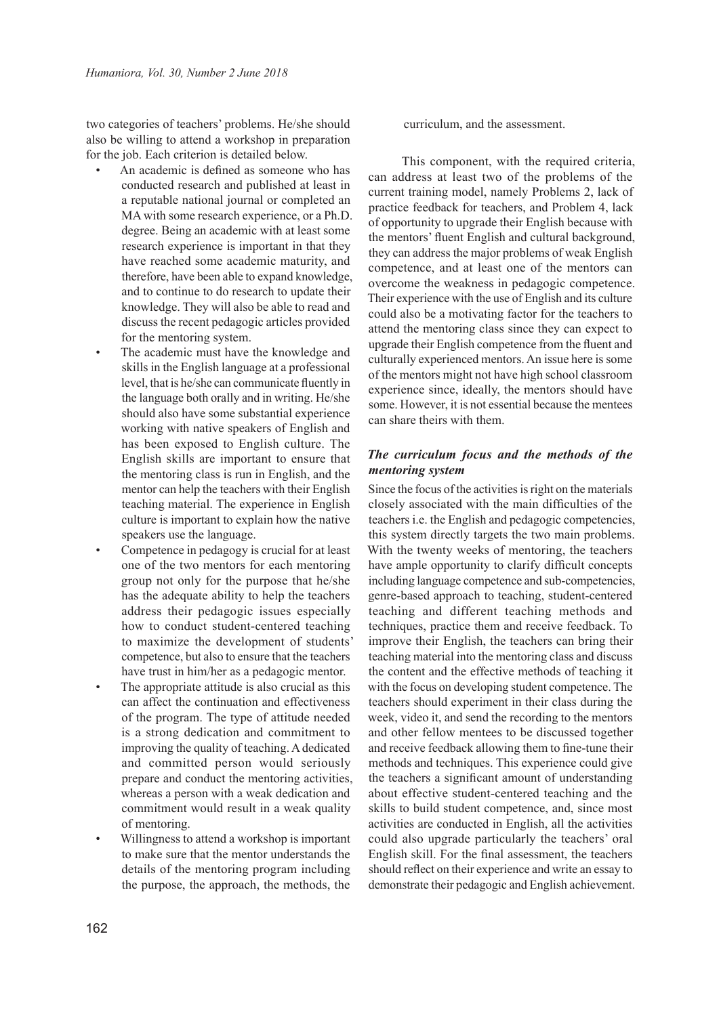two categories of teachers' problems. He/she should also be willing to attend a workshop in preparation for the job. Each criterion is detailed below.

- An academic is defined as someone who has conducted research and published at least in a reputable national journal or completed an MA with some research experience, or a Ph.D. degree. Being an academic with at least some research experience is important in that they have reached some academic maturity, and therefore, have been able to expand knowledge, and to continue to do research to update their knowledge. They will also be able to read and discuss the recent pedagogic articles provided for the mentoring system.
- The academic must have the knowledge and skills in the English language at a professional level, that is he/she can communicate fluently in the language both orally and in writing. He/she should also have some substantial experience working with native speakers of English and has been exposed to English culture. The English skills are important to ensure that the mentoring class is run in English, and the mentor can help the teachers with their English teaching material. The experience in English culture is important to explain how the native speakers use the language.
- Competence in pedagogy is crucial for at least one of the two mentors for each mentoring group not only for the purpose that he/she has the adequate ability to help the teachers address their pedagogic issues especially how to conduct student-centered teaching to maximize the development of students' competence, but also to ensure that the teachers have trust in him/her as a pedagogic mentor.
- The appropriate attitude is also crucial as this can affect the continuation and effectiveness of the program. The type of attitude needed is a strong dedication and commitment to improving the quality of teaching. A dedicated and committed person would seriously prepare and conduct the mentoring activities, whereas a person with a weak dedication and commitment would result in a weak quality of mentoring.
- Willingness to attend a workshop is important to make sure that the mentor understands the details of the mentoring program including the purpose, the approach, the methods, the

curriculum, and the assessment.

This component, with the required criteria, can address at least two of the problems of the current training model, namely Problems 2, lack of practice feedback for teachers, and Problem 4, lack of opportunity to upgrade their English because with the mentors' fluent English and cultural background, they can address the major problems of weak English competence, and at least one of the mentors can overcome the weakness in pedagogic competence. Their experience with the use of English and its culture could also be a motivating factor for the teachers to attend the mentoring class since they can expect to upgrade their English competence from the fluent and culturally experienced mentors. An issue here is some of the mentors might not have high school classroom experience since, ideally, the mentors should have some. However, it is not essential because the mentees can share theirs with them.

## *The curriculum focus and the methods of the mentoring system*

Since the focus of the activities is right on the materials closely associated with the main difficulties of the teachers i.e. the English and pedagogic competencies, this system directly targets the two main problems. With the twenty weeks of mentoring, the teachers have ample opportunity to clarify difficult concepts including language competence and sub-competencies, genre-based approach to teaching, student-centered teaching and different teaching methods and techniques, practice them and receive feedback. To improve their English, the teachers can bring their teaching material into the mentoring class and discuss the content and the effective methods of teaching it with the focus on developing student competence. The teachers should experiment in their class during the week, video it, and send the recording to the mentors and other fellow mentees to be discussed together and receive feedback allowing them to fine-tune their methods and techniques. This experience could give the teachers a significant amount of understanding about effective student-centered teaching and the skills to build student competence, and, since most activities are conducted in English, all the activities could also upgrade particularly the teachers' oral English skill. For the final assessment, the teachers should reflect on their experience and write an essay to demonstrate their pedagogic and English achievement.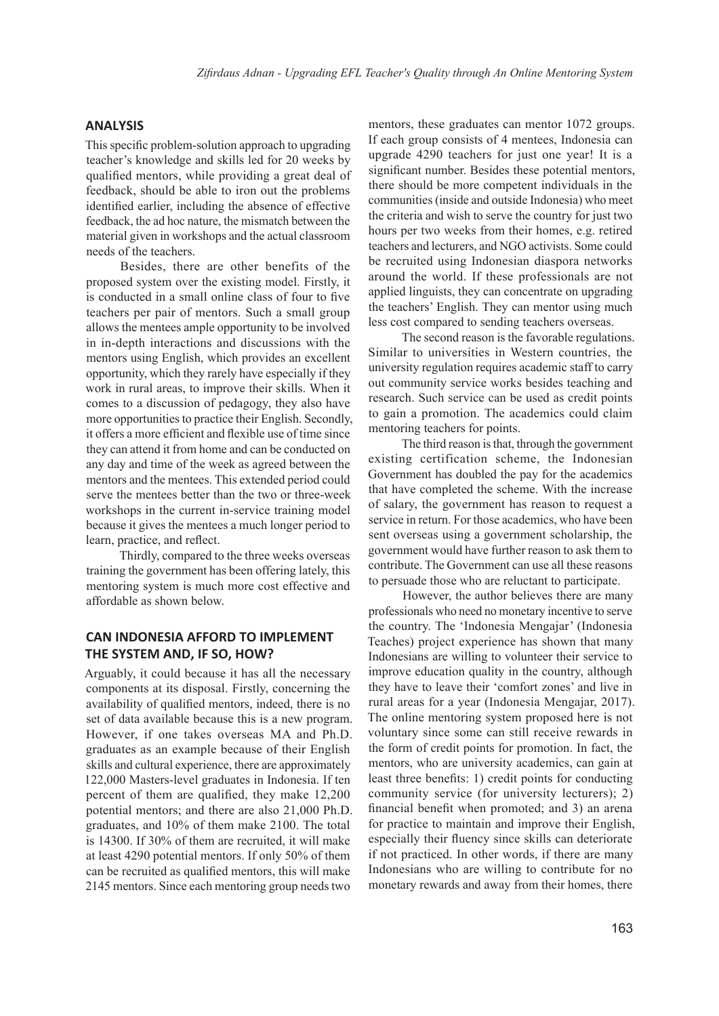## **ANALYSIS**

This specific problem-solution approach to upgrading teacher's knowledge and skills led for 20 weeks by qualified mentors, while providing a great deal of feedback, should be able to iron out the problems identified earlier, including the absence of effective feedback, the ad hoc nature, the mismatch between the material given in workshops and the actual classroom needs of the teachers.

Besides, there are other benefits of the proposed system over the existing model. Firstly, it is conducted in a small online class of four to five teachers per pair of mentors. Such a small group allows the mentees ample opportunity to be involved in in-depth interactions and discussions with the mentors using English, which provides an excellent opportunity, which they rarely have especially if they work in rural areas, to improve their skills. When it comes to a discussion of pedagogy, they also have more opportunities to practice their English. Secondly, it offers a more efficient and flexible use of time since they can attend it from home and can be conducted on any day and time of the week as agreed between the mentors and the mentees. This extended period could serve the mentees better than the two or three-week workshops in the current in-service training model because it gives the mentees a much longer period to learn, practice, and reflect.

Thirdly, compared to the three weeks overseas training the government has been offering lately, this mentoring system is much more cost effective and affordable as shown below.

## **CAN INDONESIA AFFORD TO IMPLEMENT THE SYSTEM AND, IF SO, HOW?**

Arguably, it could because it has all the necessary components at its disposal. Firstly, concerning the availability of qualified mentors, indeed, there is no set of data available because this is a new program. However, if one takes overseas MA and Ph.D. graduates as an example because of their English skills and cultural experience, there are approximately 122,000 Masters-level graduates in Indonesia. If ten percent of them are qualified, they make 12,200 potential mentors; and there are also 21,000 Ph.D. graduates, and 10% of them make 2100. The total is 14300. If 30% of them are recruited, it will make at least 4290 potential mentors. If only 50% of them can be recruited as qualified mentors, this will make 2145 mentors. Since each mentoring group needs two

mentors, these graduates can mentor 1072 groups. If each group consists of 4 mentees, Indonesia can upgrade 4290 teachers for just one year! It is a significant number. Besides these potential mentors, there should be more competent individuals in the communities (inside and outside Indonesia) who meet the criteria and wish to serve the country for just two hours per two weeks from their homes, e.g. retired teachers and lecturers, and NGO activists. Some could be recruited using Indonesian diaspora networks around the world. If these professionals are not applied linguists, they can concentrate on upgrading the teachers' English. They can mentor using much less cost compared to sending teachers overseas.

The second reason is the favorable regulations. Similar to universities in Western countries, the university regulation requires academic staff to carry out community service works besides teaching and research. Such service can be used as credit points to gain a promotion. The academics could claim mentoring teachers for points.

The third reason is that, through the government existing certification scheme, the Indonesian Government has doubled the pay for the academics that have completed the scheme. With the increase of salary, the government has reason to request a service in return. For those academics, who have been sent overseas using a government scholarship, the government would have further reason to ask them to contribute. The Government can use all these reasons to persuade those who are reluctant to participate.

However, the author believes there are many professionals who need no monetary incentive to serve the country. The 'Indonesia Mengajar' (Indonesia Teaches) project experience has shown that many Indonesians are willing to volunteer their service to improve education quality in the country, although they have to leave their 'comfort zones' and live in rural areas for a year (Indonesia Mengajar, 2017). The online mentoring system proposed here is not voluntary since some can still receive rewards in the form of credit points for promotion. In fact, the mentors, who are university academics, can gain at least three benefits: 1) credit points for conducting community service (for university lecturers); 2) financial benefit when promoted; and 3) an arena for practice to maintain and improve their English, especially their fluency since skills can deteriorate if not practiced. In other words, if there are many Indonesians who are willing to contribute for no monetary rewards and away from their homes, there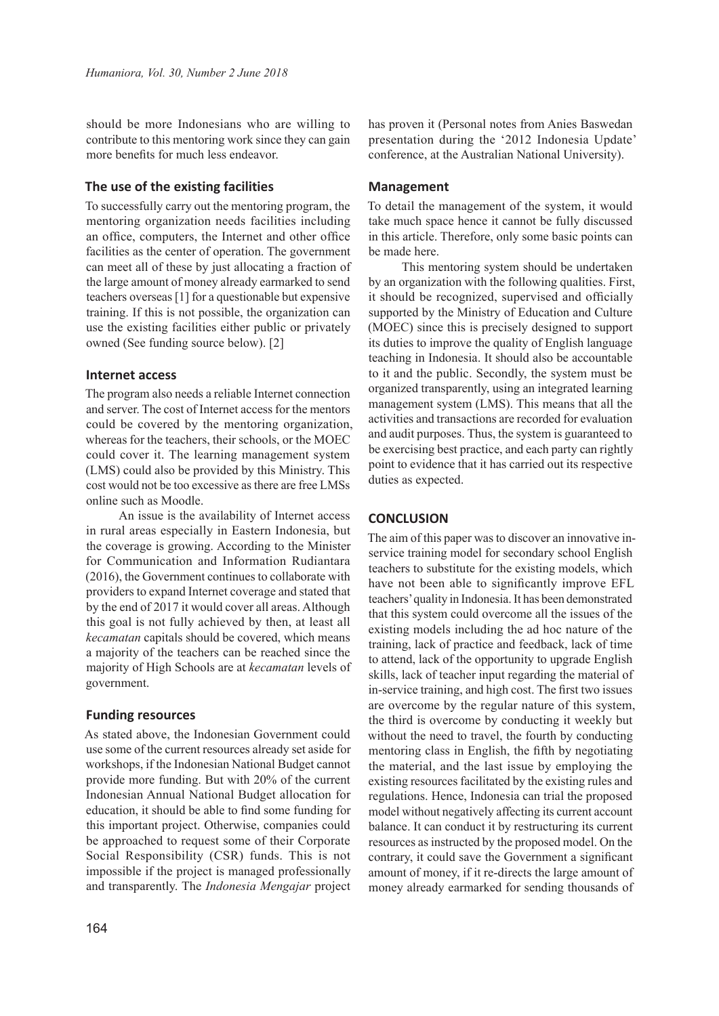should be more Indonesians who are willing to contribute to this mentoring work since they can gain more benefits for much less endeavor.

## **The use of the existing facilities**

To successfully carry out the mentoring program, the mentoring organization needs facilities including an office, computers, the Internet and other office facilities as the center of operation. The government can meet all of these by just allocating a fraction of the large amount of money already earmarked to send teachers overseas [1] for a questionable but expensive training. If this is not possible, the organization can use the existing facilities either public or privately owned (See funding source below). [2]

#### **Internet access**

The program also needs a reliable Internet connection and server. The cost of Internet access for the mentors could be covered by the mentoring organization, whereas for the teachers, their schools, or the MOEC could cover it. The learning management system (LMS) could also be provided by this Ministry. This cost would not be too excessive as there are free LMSs online such as Moodle.

An issue is the availability of Internet access in rural areas especially in Eastern Indonesia, but the coverage is growing. According to the Minister for Communication and Information Rudiantara (2016), the Government continues to collaborate with providers to expand Internet coverage and stated that by the end of 2017 it would cover all areas. Although this goal is not fully achieved by then, at least all *kecamatan* capitals should be covered, which means a majority of the teachers can be reached since the majority of High Schools are at *kecamatan* levels of government.

#### **Funding resources**

As stated above, the Indonesian Government could use some of the current resources already set aside for workshops, if the Indonesian National Budget cannot provide more funding. But with 20% of the current Indonesian Annual National Budget allocation for education, it should be able to find some funding for this important project. Otherwise, companies could be approached to request some of their Corporate Social Responsibility (CSR) funds. This is not impossible if the project is managed professionally and transparently. The *Indonesia Mengajar* project has proven it (Personal notes from Anies Baswedan presentation during the '2012 Indonesia Update' conference, at the Australian National University).

#### **Management**

To detail the management of the system, it would take much space hence it cannot be fully discussed in this article. Therefore, only some basic points can be made here.

This mentoring system should be undertaken by an organization with the following qualities. First, it should be recognized, supervised and officially supported by the Ministry of Education and Culture (MOEC) since this is precisely designed to support its duties to improve the quality of English language teaching in Indonesia. It should also be accountable to it and the public. Secondly, the system must be organized transparently, using an integrated learning management system (LMS). This means that all the activities and transactions are recorded for evaluation and audit purposes. Thus, the system is guaranteed to be exercising best practice, and each party can rightly point to evidence that it has carried out its respective duties as expected.

## **CONCLUSION**

The aim of this paper was to discover an innovative inservice training model for secondary school English teachers to substitute for the existing models, which have not been able to significantly improve EFL teachers' quality in Indonesia. It has been demonstrated that this system could overcome all the issues of the existing models including the ad hoc nature of the training, lack of practice and feedback, lack of time to attend, lack of the opportunity to upgrade English skills, lack of teacher input regarding the material of in-service training, and high cost. The first two issues are overcome by the regular nature of this system, the third is overcome by conducting it weekly but without the need to travel, the fourth by conducting mentoring class in English, the fifth by negotiating the material, and the last issue by employing the existing resources facilitated by the existing rules and regulations. Hence, Indonesia can trial the proposed model without negatively affecting its current account balance. It can conduct it by restructuring its current resources as instructed by the proposed model. On the contrary, it could save the Government a significant amount of money, if it re-directs the large amount of money already earmarked for sending thousands of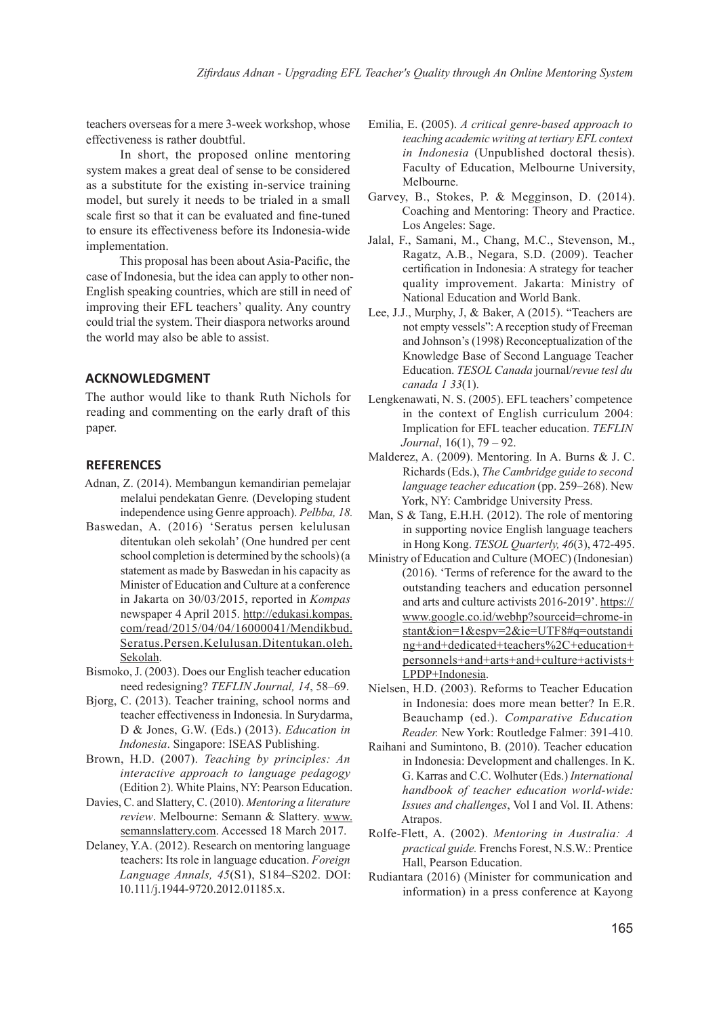teachers overseas for a mere 3-week workshop, whose effectiveness is rather doubtful.

In short, the proposed online mentoring system makes a great deal of sense to be considered as a substitute for the existing in-service training model, but surely it needs to be trialed in a small scale first so that it can be evaluated and fine-tuned to ensure its effectiveness before its Indonesia-wide implementation.

This proposal has been about Asia-Pacific, the case of Indonesia, but the idea can apply to other non-English speaking countries, which are still in need of improving their EFL teachers' quality. Any country could trial the system. Their diaspora networks around the world may also be able to assist.

## **ACKNOWLEDGMENT**

The author would like to thank Ruth Nichols for reading and commenting on the early draft of this paper.

## **REFERENCES**

- Adnan, Z. (2014). Membangun kemandirian pemelajar melalui pendekatan Genre*.* (Developing student independence using Genre approach). *Pelbba, 18.*
- Baswedan, A. (2016) 'Seratus persen kelulusan ditentukan oleh sekolah' (One hundred per cent school completion is determined by the schools) (a statement as made by Baswedan in his capacity as Minister of Education and Culture at a conference in Jakarta on 30/03/2015, reported in *Kompas* newspaper 4 April 2015. http://edukasi.kompas. com/read/2015/04/04/16000041/Mendikbud. Seratus.Persen.Kelulusan.Ditentukan.oleh. Sekolah.
- Bismoko, J. (2003). Does our English teacher education need redesigning? *TEFLIN Journal, 14*, 58–69.
- Bjorg, C. (2013). Teacher training, school norms and teacher effectiveness in Indonesia. In Surydarma, D & Jones, G.W. (Eds.) (2013). *Education in Indonesia*. Singapore: ISEAS Publishing.
- Brown, H.D. (2007). *Teaching by principles: An interactive approach to language pedagogy*  (Edition 2). White Plains, NY: Pearson Education.
- Davies, C. and Slattery, C. (2010). *Mentoring a literature review*. Melbourne: Semann & Slattery. www. semannslattery.com. Accessed 18 March 2017.
- Delaney, Y.A. (2012). Research on mentoring language teachers: Its role in language education. *Foreign Language Annals, 45*(S1), S184–S202. DOI: 10.111/j.1944-9720.2012.01185.x.
- Emilia, E. (2005). *A critical genre-based approach to teaching academic writing at tertiary EFL context in Indonesia* (Unpublished doctoral thesis). Faculty of Education, Melbourne University, Melbourne.
- Garvey, B., Stokes, P. & Megginson, D. (2014). Coaching and Mentoring: Theory and Practice. Los Angeles: Sage.
- Jalal, F., Samani, M., Chang, M.C., Stevenson, M., Ragatz, A.B., Negara, S.D. (2009). Teacher certification in Indonesia: A strategy for teacher quality improvement. Jakarta: Ministry of National Education and World Bank.
- Lee, J.J., Murphy, J, & Baker, A (2015). "Teachers are not empty vessels": A reception study of Freeman and Johnson's (1998) Reconceptualization of the Knowledge Base of Second Language Teacher Education. *TESOL Canada* journal/*revue tesl du canada 1 33*(1).
- Lengkenawati, N. S. (2005). EFL teachers' competence in the context of English curriculum 2004: Implication for EFL teacher education. *TEFLIN Journal*, 16(1), 79 – 92.
- Malderez, A. (2009). Mentoring. In A. Burns & J. C. Richards (Eds.), *The Cambridge guide to second language teacher education* (pp. 259–268). New York, NY: Cambridge University Press.
- Man, S & Tang, E.H.H. (2012). The role of mentoring in supporting novice English language teachers in Hong Kong. *TESOL Quarterly, 46*(3), 472-495.
- Ministry of Education and Culture (MOEC) (Indonesian) (2016). 'Terms of reference for the award to the outstanding teachers and education personnel and arts and culture activists 2016-2019'. https:// www.google.co.id/webhp?sourceid=chrome-in stant&ion=1&espv=2&ie=UTF8#q=outstandi ng+and+dedicated+teachers%2C+education+ personnels+and+arts+and+culture+activists+ LPDP+Indonesia.
- Nielsen, H.D. (2003). Reforms to Teacher Education in Indonesia: does more mean better? In E.R. Beauchamp (ed.). *Comparative Education Reader.* New York: Routledge Falmer: 391-410.
- Raihani and Sumintono, B. (2010). Teacher education in Indonesia: Development and challenges. In K. G. Karras and C.C. Wolhuter (Eds.) *International handbook of teacher education world-wide: Issues and challenges*, Vol I and Vol. II. Athens: Atrapos.
- Rolfe-Flett, A. (2002). *Mentoring in Australia: A practical guide.* Frenchs Forest, N.S.W.: Prentice Hall, Pearson Education.
- Rudiantara (2016) (Minister for communication and information) in a press conference at Kayong